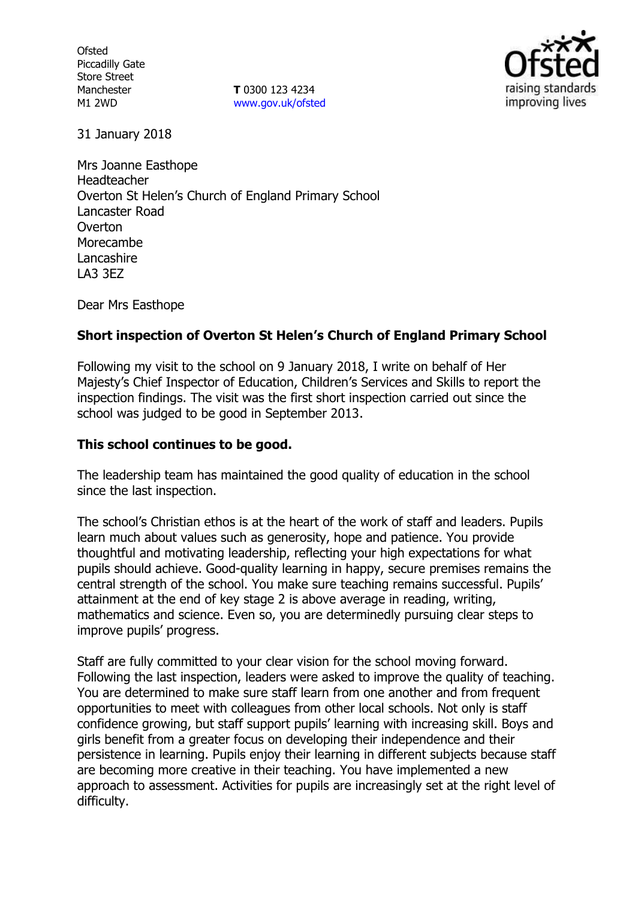**Ofsted** Piccadilly Gate Store Street Manchester M1 2WD

**T** 0300 123 4234 www.gov.uk/ofsted



31 January 2018

Mrs Joanne Easthope Headteacher Overton St Helen's Church of England Primary School Lancaster Road **Overton** Morecambe Lancashire LA3 3EZ

Dear Mrs Easthope

## **Short inspection of Overton St Helen's Church of England Primary School**

Following my visit to the school on 9 January 2018, I write on behalf of Her Majesty's Chief Inspector of Education, Children's Services and Skills to report the inspection findings. The visit was the first short inspection carried out since the school was judged to be good in September 2013.

#### **This school continues to be good.**

The leadership team has maintained the good quality of education in the school since the last inspection.

The school's Christian ethos is at the heart of the work of staff and leaders. Pupils learn much about values such as generosity, hope and patience. You provide thoughtful and motivating leadership, reflecting your high expectations for what pupils should achieve. Good-quality learning in happy, secure premises remains the central strength of the school. You make sure teaching remains successful. Pupils' attainment at the end of key stage 2 is above average in reading, writing, mathematics and science. Even so, you are determinedly pursuing clear steps to improve pupils' progress.

Staff are fully committed to your clear vision for the school moving forward. Following the last inspection, leaders were asked to improve the quality of teaching. You are determined to make sure staff learn from one another and from frequent opportunities to meet with colleagues from other local schools. Not only is staff confidence growing, but staff support pupils' learning with increasing skill. Boys and girls benefit from a greater focus on developing their independence and their persistence in learning. Pupils enjoy their learning in different subjects because staff are becoming more creative in their teaching. You have implemented a new approach to assessment. Activities for pupils are increasingly set at the right level of difficulty.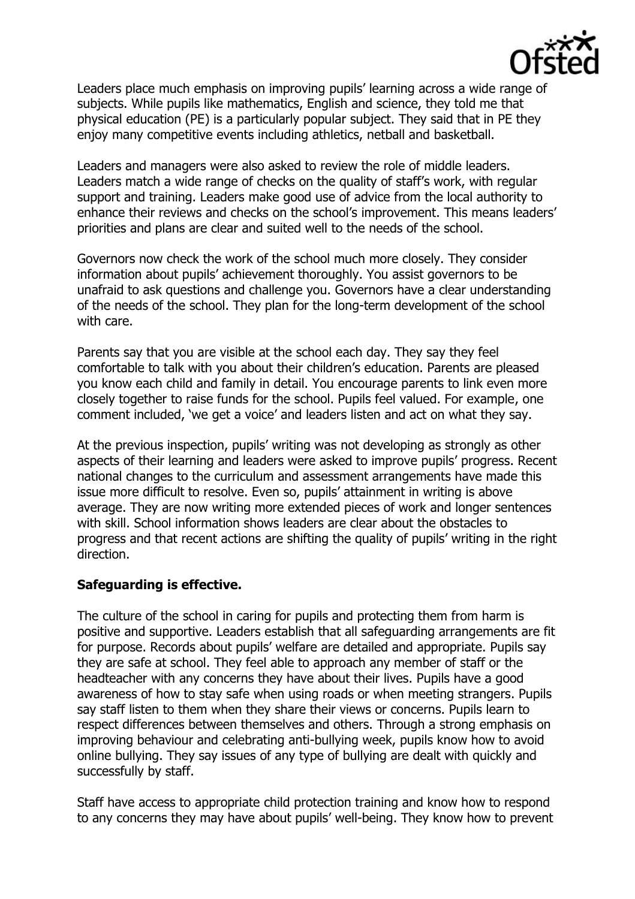

Leaders place much emphasis on improving pupils' learning across a wide range of subjects. While pupils like mathematics, English and science, they told me that physical education (PE) is a particularly popular subject. They said that in PE they enjoy many competitive events including athletics, netball and basketball.

Leaders and managers were also asked to review the role of middle leaders. Leaders match a wide range of checks on the quality of staff's work, with regular support and training. Leaders make good use of advice from the local authority to enhance their reviews and checks on the school's improvement. This means leaders' priorities and plans are clear and suited well to the needs of the school.

Governors now check the work of the school much more closely. They consider information about pupils' achievement thoroughly. You assist governors to be unafraid to ask questions and challenge you. Governors have a clear understanding of the needs of the school. They plan for the long-term development of the school with care.

Parents say that you are visible at the school each day. They say they feel comfortable to talk with you about their children's education. Parents are pleased you know each child and family in detail. You encourage parents to link even more closely together to raise funds for the school. Pupils feel valued. For example, one comment included, 'we get a voice' and leaders listen and act on what they say.

At the previous inspection, pupils' writing was not developing as strongly as other aspects of their learning and leaders were asked to improve pupils' progress. Recent national changes to the curriculum and assessment arrangements have made this issue more difficult to resolve. Even so, pupils' attainment in writing is above average. They are now writing more extended pieces of work and longer sentences with skill. School information shows leaders are clear about the obstacles to progress and that recent actions are shifting the quality of pupils' writing in the right direction.

# **Safeguarding is effective.**

The culture of the school in caring for pupils and protecting them from harm is positive and supportive. Leaders establish that all safeguarding arrangements are fit for purpose. Records about pupils' welfare are detailed and appropriate. Pupils say they are safe at school. They feel able to approach any member of staff or the headteacher with any concerns they have about their lives. Pupils have a good awareness of how to stay safe when using roads or when meeting strangers. Pupils say staff listen to them when they share their views or concerns. Pupils learn to respect differences between themselves and others. Through a strong emphasis on improving behaviour and celebrating anti-bullying week, pupils know how to avoid online bullying. They say issues of any type of bullying are dealt with quickly and successfully by staff.

Staff have access to appropriate child protection training and know how to respond to any concerns they may have about pupils' well-being. They know how to prevent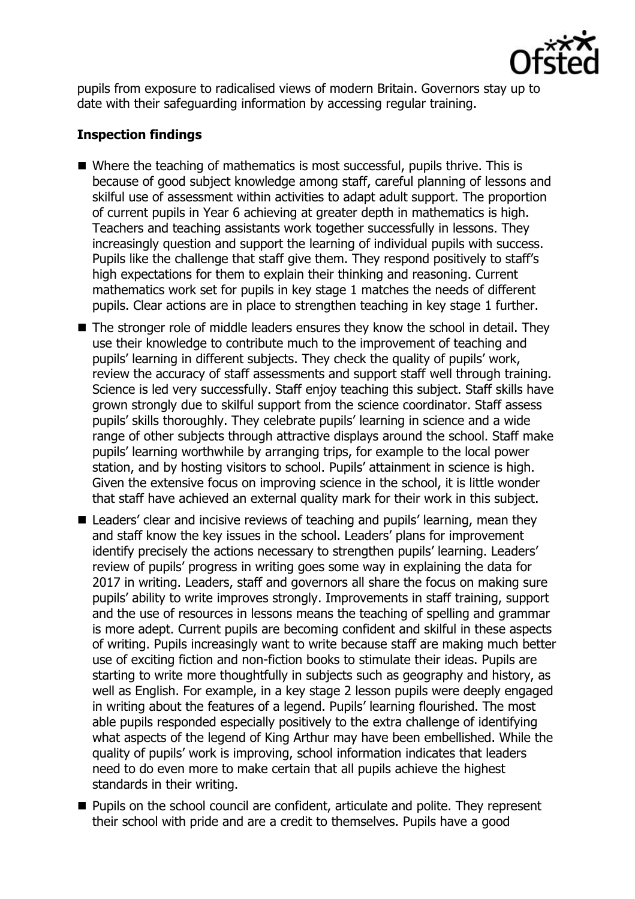

pupils from exposure to radicalised views of modern Britain. Governors stay up to date with their safeguarding information by accessing regular training.

## **Inspection findings**

- Where the teaching of mathematics is most successful, pupils thrive. This is because of good subject knowledge among staff, careful planning of lessons and skilful use of assessment within activities to adapt adult support. The proportion of current pupils in Year 6 achieving at greater depth in mathematics is high. Teachers and teaching assistants work together successfully in lessons. They increasingly question and support the learning of individual pupils with success. Pupils like the challenge that staff give them. They respond positively to staff's high expectations for them to explain their thinking and reasoning. Current mathematics work set for pupils in key stage 1 matches the needs of different pupils. Clear actions are in place to strengthen teaching in key stage 1 further.
- The stronger role of middle leaders ensures they know the school in detail. They use their knowledge to contribute much to the improvement of teaching and pupils' learning in different subjects. They check the quality of pupils' work, review the accuracy of staff assessments and support staff well through training. Science is led very successfully. Staff enjoy teaching this subject. Staff skills have grown strongly due to skilful support from the science coordinator. Staff assess pupils' skills thoroughly. They celebrate pupils' learning in science and a wide range of other subjects through attractive displays around the school. Staff make pupils' learning worthwhile by arranging trips, for example to the local power station, and by hosting visitors to school. Pupils' attainment in science is high. Given the extensive focus on improving science in the school, it is little wonder that staff have achieved an external quality mark for their work in this subject.
- Leaders' clear and incisive reviews of teaching and pupils' learning, mean they and staff know the key issues in the school. Leaders' plans for improvement identify precisely the actions necessary to strengthen pupils' learning. Leaders' review of pupils' progress in writing goes some way in explaining the data for 2017 in writing. Leaders, staff and governors all share the focus on making sure pupils' ability to write improves strongly. Improvements in staff training, support and the use of resources in lessons means the teaching of spelling and grammar is more adept. Current pupils are becoming confident and skilful in these aspects of writing. Pupils increasingly want to write because staff are making much better use of exciting fiction and non-fiction books to stimulate their ideas. Pupils are starting to write more thoughtfully in subjects such as geography and history, as well as English. For example, in a key stage 2 lesson pupils were deeply engaged in writing about the features of a legend. Pupils' learning flourished. The most able pupils responded especially positively to the extra challenge of identifying what aspects of the legend of King Arthur may have been embellished. While the quality of pupils' work is improving, school information indicates that leaders need to do even more to make certain that all pupils achieve the highest standards in their writing.
- **Pupils on the school council are confident, articulate and polite. They represent** their school with pride and are a credit to themselves. Pupils have a good